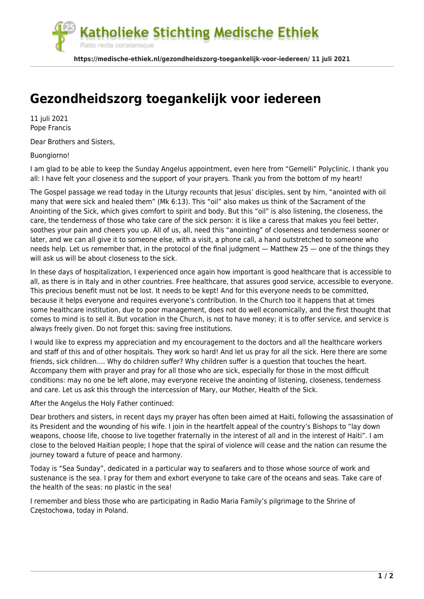atholieke Stichting Medische Ethiek Ratio recta constansque

**https://medische-ethiek.nl/gezondheidszorg-toegankelijk-voor-iedereen/ 11 juli 2021**

## **[Gezondheidszorg toegankelijk voor iedereen](https://medische-ethiek.nl/gezondheidszorg-toegankelijk-voor-iedereen/)**

11 juli 2021 Pope Francis

Dear Brothers and Sisters,

Buongiorno!

I am glad to be able to keep the Sunday Angelus appointment, even here from "Gemelli" Polyclinic. I thank you all: I have felt your closeness and the support of your prayers. Thank you from the bottom of my heart!

The Gospel passage we read today in the Liturgy recounts that Jesus' disciples, sent by him, "anointed with oil many that were sick and healed them" (Mk 6:13). This "oil" also makes us think of the Sacrament of the Anointing of the Sick, which gives comfort to spirit and body. But this "oil" is also listening, the closeness, the care, the tenderness of those who take care of the sick person: it is like a caress that makes you feel better, soothes your pain and cheers you up. All of us, all, need this "anointing" of closeness and tenderness sooner or later, and we can all give it to someone else, with a visit, a phone call, a hand outstretched to someone who needs help. Let us remember that, in the protocol of the final judgment — Matthew 25 — one of the things they will ask us will be about closeness to the sick.

In these days of hospitalization, I experienced once again how important is good healthcare that is accessible to all, as there is in Italy and in other countries. Free healthcare, that assures good service, accessible to everyone. This precious benefit must not be lost. It needs to be kept! And for this everyone needs to be committed, because it helps everyone and requires everyone's contribution. In the Church too it happens that at times some healthcare institution, due to poor management, does not do well economically, and the first thought that comes to mind is to sell it. But vocation in the Church, is not to have money; it is to offer service, and service is always freely given. Do not forget this: saving free institutions.

I would like to express my appreciation and my encouragement to the doctors and all the healthcare workers and staff of this and of other hospitals. They work so hard! And let us pray for all the sick. Here there are some friends, sick children…. Why do children suffer? Why children suffer is a question that touches the heart. Accompany them with prayer and pray for all those who are sick, especially for those in the most difficult conditions: may no one be left alone, may everyone receive the anointing of listening, closeness, tenderness and care. Let us ask this through the intercession of Mary, our Mother, Health of the Sick.

After the Angelus the Holy Father continued:

Dear brothers and sisters, in recent days my prayer has often been aimed at Haiti, following the assassination of its President and the wounding of his wife. I join in the heartfelt appeal of the country's Bishops to "lay down weapons, choose life, choose to live together fraternally in the interest of all and in the interest of Haiti". I am close to the beloved Haitian people; I hope that the spiral of violence will cease and the nation can resume the journey toward a future of peace and harmony.

Today is "Sea Sunday", dedicated in a particular way to seafarers and to those whose source of work and sustenance is the sea. I pray for them and exhort everyone to take care of the oceans and seas. Take care of the health of the seas: no plastic in the sea!

I remember and bless those who are participating in Radio Maria Family's pilgrimage to the Shrine of Częstochowa, today in Poland.